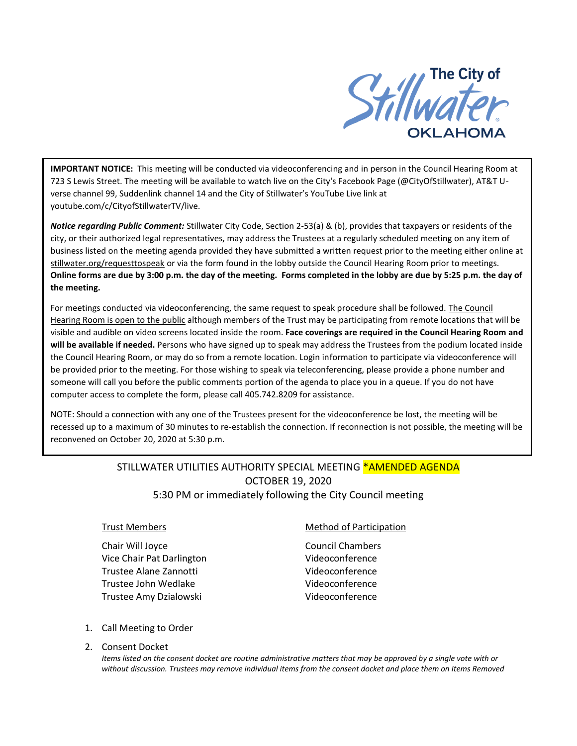

**IMPORTANT NOTICE:** This meeting will be conducted via videoconferencing and in person in the Council Hearing Room at 723 S Lewis Street. The meeting will be available to watch live on the City's Facebook Page (@CityOfStillwater), AT&T Uverse channel 99, Suddenlink channel 14 and the City of Stillwater's YouTube Live link at youtube.com/c/CityofStillwaterTV/live.

*Notice regarding Public Comment:* Stillwater City Code, Section 2-53(a) & (b), provides that taxpayers or residents of the city, or their authorized legal representatives, may address the Trustees at a regularly scheduled meeting on any item of business listed on the meeting agenda provided they have submitted a written request prior to the meeting either online at stillwater.org/requesttospeak or via the form found in the lobby outside the Council Hearing Room prior to meetings. **Online forms are due by 3:00 p.m. the day of the meeting. Forms completed in the lobby are due by 5:25 p.m. the day of the meeting.**

For meetings conducted via videoconferencing, the same request to speak procedure shall be followed. The Council Hearing Room is open to the public although members of the Trust may be participating from remote locations that will be visible and audible on video screens located inside the room. **Face coverings are required in the Council Hearing Room and will be available if needed.** Persons who have signed up to speak may address the Trustees from the podium located inside the Council Hearing Room, or may do so from a remote location. Login information to participate via videoconference will be provided prior to the meeting. For those wishing to speak via teleconferencing, please provide a phone number and someone will call you before the public comments portion of the agenda to place you in a queue. If you do not have computer access to complete the form, please call 405.742.8209 for assistance.

NOTE: Should a connection with any one of the Trustees present for the videoconference be lost, the meeting will be recessed up to a maximum of 30 minutes to re-establish the connection. If reconnection is not possible, the meeting will be reconvened on October 20, 2020 at 5:30 p.m.

# STILLWATER UTILITIES AUTHORITY SPECIAL MEETING \*AMENDED AGENDA OCTOBER 19, 2020 5:30 PM or immediately following the City Council meeting

Chair Will Joyce **Chair Will Joyce Council Chambers** Vice Chair Pat Darlington Vice Chair Pat Darlington Trustee Alane Zannotti Videoconference Trustee John Wedlake Videoconference Trustee Amy Dzialowski Videoconference

#### Trust Members **Method of Participation**

- 1. Call Meeting to Order
- 2. Consent Docket

*Items listed on the consent docket are routine administrative matters that may be approved by a single vote with or without discussion. Trustees may remove individual items from the consent docket and place them on Items Removed*